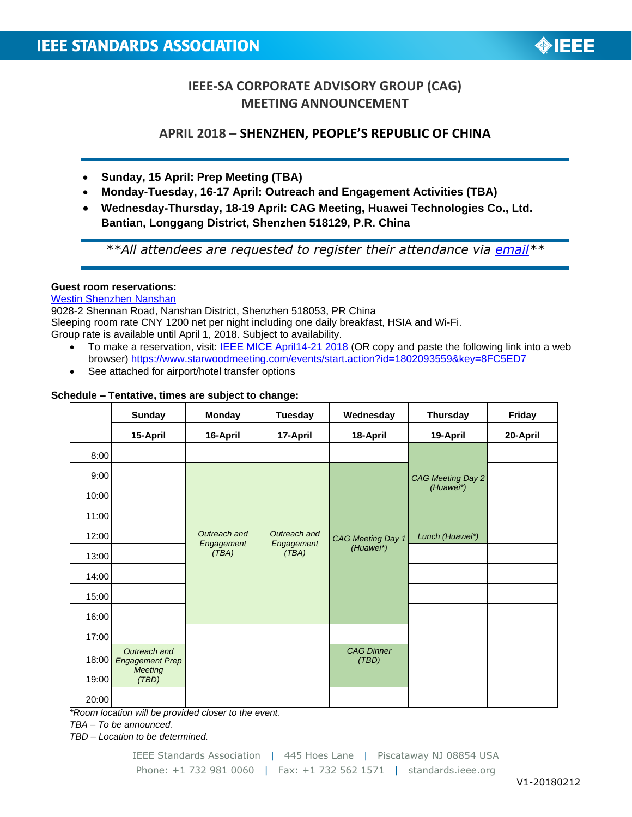

# **IEEE-SA CORPORATE ADVISORY GROUP (CAG) MEETING ANNOUNCEMENT**

## **APRIL 2018 – SHENZHEN, PEOPLE'S REPUBLIC OF CHINA**

- **Sunday, 15 April: Prep Meeting (TBA)**
- **Monday-Tuesday, 16-17 April: Outreach and Engagement Activities (TBA)**
- **Wednesday-Thursday, 18-19 April: CAG Meeting, Huawei Technologies Co., Ltd. Bantian, Longgang District, Shenzhen 518129, P.R. China**

*\*\*All attendees are requested to register their attendance via [email\\*](mailto:m.aranzamendez@ieee.org?subject=Attendance%20at%20CAG%20Shenzhen%20-%20April%202018)\**

### **Guest room reservations:**

## [Westin Shenzhen Nanshan](https://www.starwoodhotels.com/westin/property/overview/index.html?propertyID=3346&language=en_US)

9028-2 Shennan Road, Nanshan District, Shenzhen 518053, PR China Sleeping room rate CNY 1200 net per night including one daily breakfast, HSIA and Wi-Fi. Group rate is available until April 1, 2018. Subject to availability.

- To make a reservation, visit: [IEEE MICE April14-21 2018](https://www.starwoodmeeting.com/events/start.action?id=1802093559&key=8FC5ED7) (OR copy and paste the following link into a web browser)<https://www.starwoodmeeting.com/events/start.action?id=1802093559&key=8FC5ED7>
- See attached for airport/hotel transfer options

### **Schedule – Tentative, times are subject to change:**

|       | <b>Sunday</b>                          | <b>Monday</b>       | <b>Tuesday</b>                      | Wednesday                      | <b>Thursday</b>                | Friday   |
|-------|----------------------------------------|---------------------|-------------------------------------|--------------------------------|--------------------------------|----------|
|       | 15-April                               | 16-April            | 17-April                            | 18-April                       | 19-April                       | 20-April |
| 8:00  |                                        |                     |                                     |                                |                                |          |
| 9:00  |                                        | Outreach and        | Outreach and<br>Engagement<br>(TBA) | CAG Meeting Day 1<br>(Huawei*) | CAG Meeting Day 2<br>(Huawei*) |          |
| 10:00 |                                        |                     |                                     |                                |                                |          |
| 11:00 |                                        |                     |                                     |                                |                                |          |
| 12:00 |                                        |                     |                                     |                                | Lunch (Huawei*)                |          |
| 13:00 |                                        | Engagement<br>(TBA) |                                     |                                |                                |          |
| 14:00 |                                        |                     |                                     |                                |                                |          |
| 15:00 |                                        |                     |                                     |                                |                                |          |
| 16:00 |                                        |                     |                                     |                                |                                |          |
| 17:00 |                                        |                     |                                     |                                |                                |          |
| 18:00 | Outreach and<br><b>Engagement Prep</b> |                     |                                     | <b>CAG Dinner</b><br>(TBD)     |                                |          |
| 19:00 | <b>Meeting</b><br>(TBD)                |                     |                                     |                                |                                |          |
| 20:00 |                                        |                     |                                     |                                |                                |          |

*\*Room location will be provided closer to the event.*

*TBA – To be announced.*

*TBD – Location to be determined.*

IEEE Standards Association | 445 Hoes Lane | Piscataway NJ 08854 USA Phone: +1 732 981 0060 | Fax: +1 732 562 1571 | standards.ieee.org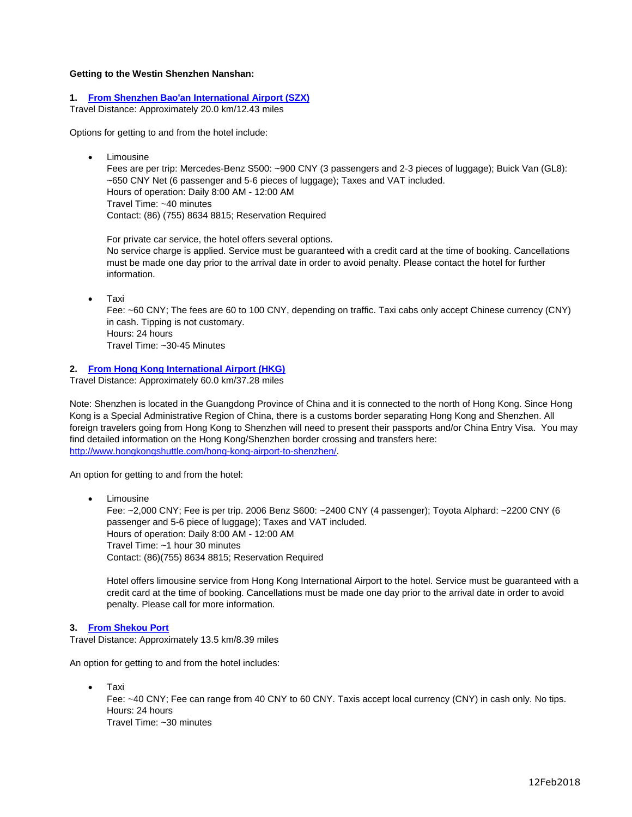#### **Getting to the Westin Shenzhen Nanshan:**

#### **1. [From Shenzhen Bao'an International Airport \(SZX\)](http://www.szairport.com/szairportyw/hbxxy/hbxx.shtml)**

Travel Distance: Approximately 20.0 km/12.43 miles

Options for getting to and from the hotel include:

Limousine

Fees are per trip: Mercedes-Benz S500: ~900 CNY (3 passengers and 2-3 pieces of luggage); Buick Van (GL8): ~650 CNY Net (6 passenger and 5-6 pieces of luggage); Taxes and VAT included. Hours of operation: Daily 8:00 AM - 12:00 AM Travel Time: ~40 minutes Contact: (86) (755) 8634 8815; Reservation Required

For private car service, the hotel offers several options. No service charge is applied. Service must be guaranteed with a credit card at the time of booking. Cancellations must be made one day prior to the arrival date in order to avoid penalty. Please contact the hotel for further information.

Taxi

Fee: ~60 CNY; The fees are 60 to 100 CNY, depending on traffic. Taxi cabs only accept Chinese currency (CNY) in cash. Tipping is not customary. Hours: 24 hours Travel Time: ~30-45 Minutes

### **2. [From Hong Kong International Airport \(HKG\)](http://www.hongkongairport.com/eng/index.html)**

Travel Distance: Approximately 60.0 km/37.28 miles

Note: Shenzhen is located in the Guangdong Province of China and it is connected to the north of Hong Kong. Since Hong Kong is a Special Administrative Region of China, there is a customs border separating Hong Kong and Shenzhen. All foreign travelers going from Hong Kong to Shenzhen will need to present their passports and/or China Entry Visa. You may find detailed information on the Hong Kong/Shenzhen border crossing and transfers here: [http://www.hongkongshuttle.com/hong-kong-airport-to-shenzhen/.](http://www.hongkongshuttle.com/hong-kong-airport-to-shenzhen/)

An option for getting to and from the hotel:

 Limousine Fee: ~2,000 CNY; Fee is per trip. 2006 Benz S600: ~2400 CNY (4 passenger); Toyota Alphard: ~2200 CNY (6 passenger and 5-6 piece of luggage); Taxes and VAT included. Hours of operation: Daily 8:00 AM - 12:00 AM Travel Time: ~1 hour 30 minutes Contact: (86)(755) 8634 8815; Reservation Required

Hotel offers limousine service from Hong Kong International Airport to the hotel. Service must be guaranteed with a credit card at the time of booking. Cancellations must be made one day prior to the arrival date in order to avoid penalty. Please call for more information.

#### **3. [From Shekou Port](https://www.travelchinaguide.com/cityguides/guangdong/shenzhen/shekou-port-ferry.htm)**

Travel Distance: Approximately 13.5 km/8.39 miles

An option for getting to and from the hotel includes:

Taxi

Fee: ~40 CNY; Fee can range from 40 CNY to 60 CNY. Taxis accept local currency (CNY) in cash only. No tips. Hours: 24 hours Travel Time: ~30 minutes